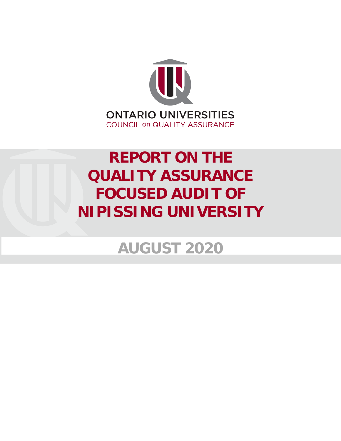

# **REPORT ON THE QUALITY ASSURANCE FOCUSED AUDIT OF NIPISSING UNIVERSITY**

**AUGUST 2020**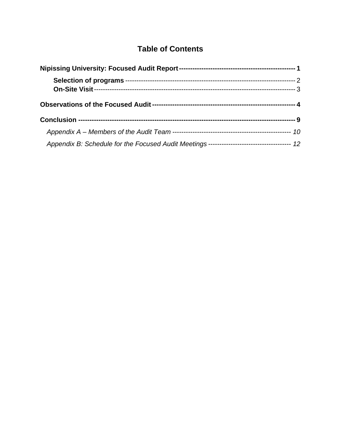# **Table of Contents**

| Appendix B: Schedule for the Focused Audit Meetings ----------------------------------- 12 |  |
|--------------------------------------------------------------------------------------------|--|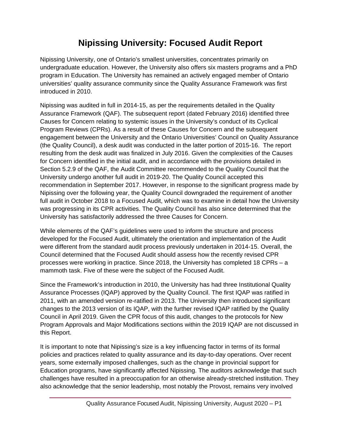# **Nipissing University: Focused Audit Report**

<span id="page-2-0"></span>Nipissing University, one of Ontario's smallest universities, concentrates primarily on undergraduate education. However, the University also offers six masters programs and a PhD program in Education. The University has remained an actively engaged member of Ontario universities' quality assurance community since the Quality Assurance Framework was first introduced in 2010.

Nipissing was audited in full in 2014-15, as per the requirements detailed in the Quality Assurance Framework (QAF). The subsequent report (dated February 2016) identified three Causes for Concern relating to systemic issues in the University's conduct of its Cyclical Program Reviews (CPRs). As a result of these Causes for Concern and the subsequent engagement between the University and the Ontario Universities' Council on Quality Assurance (the Quality Council), a desk audit was conducted in the latter portion of 2015-16. The report resulting from the desk audit was finalized in July 2016. Given the complexities of the Causes for Concern identified in the initial audit, and in accordance with the provisions detailed in Section 5.2.9 of the QAF, the Audit Committee recommended to the Quality Council that the University undergo another full audit in 2019-20. The Quality Council accepted this recommendation in September 2017. However, in response to the significant progress made by Nipissing over the following year, the Quality Council downgraded the requirement of another full audit in October 2018 to a Focused Audit, which was to examine in detail how the University was progressing in its CPR activities. The Quality Council has also since determined that the University has satisfactorily addressed the three Causes for Concern.

While elements of the QAF's guidelines were used to inform the structure and process developed for the Focused Audit, ultimately the orientation and implementation of the Audit were different from the standard audit process previously undertaken in 2014-15. Overall, the Council determined that the Focused Audit should assess how the recently revised CPR processes were working in practice. Since 2018, the University has completed 18 CPRs – a mammoth task. Five of these were the subject of the Focused Audit.

Since the Framework's introduction in 2010, the University has had three Institutional Quality Assurance Processes (IQAP) approved by the Quality Council. The first IQAP was ratified in 2011, with an amended version re-ratified in 2013. The University then introduced significant changes to the 2013 version of its IQAP, with the further revised IQAP ratified by the Quality Council in April 2019. Given the CPR focus of this audit, changes to the protocols for New Program Approvals and Major Modifications sections within the 2019 IQAP are not discussed in this Report.

It is important to note that Nipissing's size is a key influencing factor in terms of its formal policies and practices related to quality assurance and its day-to-day operations. Over recent years, some externally imposed challenges, such as the change in provincial support for Education programs, have significantly affected Nipissing. The auditors acknowledge that such challenges have resulted in a preoccupation for an otherwise already-stretched institution. They also acknowledge that the senior leadership, most notably the Provost, remains very involved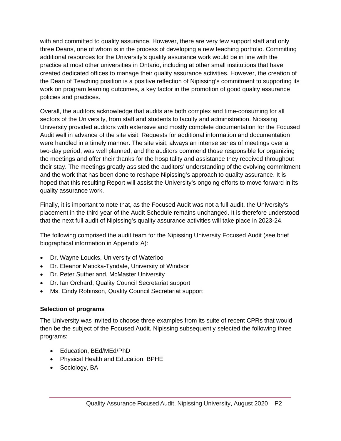with and committed to quality assurance. However, there are very few support staff and only three Deans, one of whom is in the process of developing a new teaching portfolio. Committing additional resources for the University's quality assurance work would be in line with the practice at most other universities in Ontario, including at other small institutions that have created dedicated offices to manage their quality assurance activities. However, the creation of the Dean of Teaching position is a positive reflection of Nipissing's commitment to supporting its work on program learning outcomes, a key factor in the promotion of good quality assurance policies and practices.

Overall, the auditors acknowledge that audits are both complex and time-consuming for all sectors of the University, from staff and students to faculty and administration. Nipissing University provided auditors with extensive and mostly complete documentation for the Focused Audit well in advance of the site visit. Requests for additional information and documentation were handled in a timely manner. The site visit, always an intense series of meetings over a two-day period, was well planned, and the auditors commend those responsible for organizing the meetings and offer their thanks for the hospitality and assistance they received throughout their stay. The meetings greatly assisted the auditors' understanding of the evolving commitment and the work that has been done to reshape Nipissing's approach to quality assurance. It is hoped that this resulting Report will assist the University's ongoing efforts to move forward in its quality assurance work.

Finally, it is important to note that, as the Focused Audit was not a full audit, the University's placement in the third year of the Audit Schedule remains unchanged. It is therefore understood that the next full audit of Nipissing's quality assurance activities will take place in 2023-24.

The following comprised the audit team for the Nipissing University Focused Audit (see brief biographical information in Appendix A):

- Dr. Wayne Loucks, University of Waterloo
- Dr. Eleanor Maticka-Tyndale, University of Windsor
- Dr. Peter Sutherland, McMaster University
- Dr. Ian Orchard, Quality Council Secretariat support
- <span id="page-3-0"></span>• Ms. Cindy Robinson, Quality Council Secretariat support

#### **Selection of programs**

The University was invited to choose three examples from its suite of recent CPRs that would then be the subject of the Focused Audit. Nipissing subsequently selected the following three programs:

- Education, BEd/MEd/PhD
- Physical Health and Education, BPHE
- Sociology, BA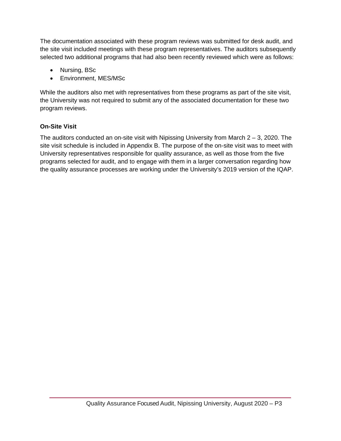The documentation associated with these program reviews was submitted for desk audit, and the site visit included meetings with these program representatives. The auditors subsequently selected two additional programs that had also been recently reviewed which were as follows:

- Nursing, BSc
- Environment, MES/MSc

While the auditors also met with representatives from these programs as part of the site visit, the University was not required to submit any of the associated documentation for these two program reviews.

## <span id="page-4-0"></span>**On-Site Visit**

The auditors conducted an on-site visit with Nipissing University from March 2 – 3, 2020. The site visit schedule is included in Appendix B. The purpose of the on-site visit was to meet with University representatives responsible for quality assurance, as well as those from the five programs selected for audit, and to engage with them in a larger conversation regarding how the quality assurance processes are working under the University's 2019 version of the IQAP.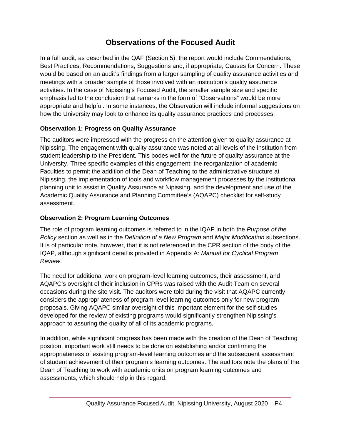# **Observations of the Focused Audit**

<span id="page-5-0"></span>In a full audit, as described in the QAF (Section 5), the report would include Commendations, Best Practices, Recommendations, Suggestions and, if appropriate, Causes for Concern. These would be based on an audit's findings from a larger sampling of quality assurance activities and meetings with a broader sample of those involved with an institution's quality assurance activities. In the case of Nipissing's Focused Audit, the smaller sample size and specific emphasis led to the conclusion that remarks in the form of "Observations" would be more appropriate and helpful. In some instances, the Observation will include informal suggestions on how the University may look to enhance its quality assurance practices and processes.

#### **Observation 1: Progress on Quality Assurance**

The auditors were impressed with the progress on the attention given to quality assurance at Nipissing. The engagement with quality assurance was noted at all levels of the institution from student leadership to the President. This bodes well for the future of quality assurance at the University. Three specific examples of this engagement: the reorganization of academic Faculties to permit the addition of the Dean of Teaching to the administrative structure at Nipissing, the implementation of tools and workflow management processes by the institutional planning unit to assist in Quality Assurance at Nipissing, and the development and use of the Academic Quality Assurance and Planning Committee's (AQAPC) checklist for self-study assessment.

#### **Observation 2: Program Learning Outcomes**

The role of program learning outcomes is referred to in the IQAP in both the *Purpose of the Policy* section as well as in the *Definition of a New Program* and *Major Modification* subsections. It is of particular note, however, that it is not referenced in the CPR section of the body of the IQAP, although significant detail is provided in Appendix A: *Manual for Cyclical Program Review*.

The need for additional work on program-level learning outcomes, their assessment, and AQAPC's oversight of their inclusion in CPRs was raised with the Audit Team on several occasions during the site visit. The auditors were told during the visit that AQAPC currently considers the appropriateness of program-level learning outcomes only for new program proposals. Giving AQAPC similar oversight of this important element for the self-studies developed for the review of existing programs would significantly strengthen Nipissing's approach to assuring the quality of all of its academic programs.

In addition, while significant progress has been made with the creation of the Dean of Teaching position, important work still needs to be done on establishing and/or confirming the appropriateness of existing program-level learning outcomes and the subsequent assessment of student achievement of their program's learning outcomes. The auditors note the plans of the Dean of Teaching to work with academic units on program learning outcomes and assessments, which should help in this regard.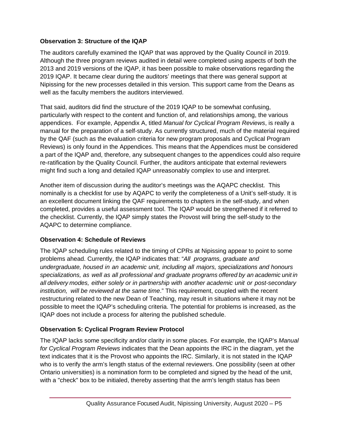#### **Observation 3: Structure of the IQAP**

The auditors carefully examined the IQAP that was approved by the Quality Council in 2019. Although the three program reviews audited in detail were completed using aspects of both the 2013 and 2019 versions of the IQAP, it has been possible to make observations regarding the 2019 IQAP. It became clear during the auditors' meetings that there was general support at Nipissing for the new processes detailed in this version. This support came from the Deans as well as the faculty members the auditors interviewed.

That said, auditors did find the structure of the 2019 IQAP to be somewhat confusing, particularly with respect to the content and function of, and relationships among, the various appendices. For example, Appendix A, titled *Manual for Cyclical Program Reviews*, is really a manual for the preparation of a self-study. As currently structured, much of the material required by the QAF (such as the evaluation criteria for new program proposals and Cyclical Program Reviews) is only found in the Appendices. This means that the Appendices must be considered a part of the IQAP and, therefore, any subsequent changes to the appendices could also require re-ratification by the Quality Council. Further, the auditors anticipate that external reviewers might find such a long and detailed IQAP unreasonably complex to use and interpret.

Another item of discussion during the auditor's meetings was the AQAPC checklist. This nominally is a checklist for use by AQAPC to verify the completeness of a Unit's self-study. It is an excellent document linking the QAF requirements to chapters in the self-study, and when completed, provides a useful assessment tool. The IQAP would be strengthened if it referred to the checklist. Currently, the IQAP simply states the Provost will bring the self-study to the AQAPC to determine compliance.

#### **Observation 4: Schedule of Reviews**

The IQAP scheduling rules related to the timing of CPRs at Nipissing appear to point to some problems ahead. Currently, the IQAP indicates that: "*All programs, graduate and undergraduate, housed in an academic unit, including all majors, specializations and honours specializations, as well as all professional and graduate programs offered by an academic unit in all delivery modes, either solely or in partnership with another academic unit or post-secondary institution, will be reviewed at the same time*." This requirement, coupled with the recent restructuring related to the new Dean of Teaching, may result in situations where it may not be possible to meet the IQAP's scheduling criteria. The potential for problems is increased, as the IQAP does not include a process for altering the published schedule.

#### **Observation 5: Cyclical Program Review Protocol**

The IQAP lacks some specificity and/or clarity in some places. For example, the IQAP's *Manual for Cyclical Program Reviews* indicates that the Dean appoints the IRC in the diagram, yet the text indicates that it is the Provost who appoints the IRC. Similarly, it is not stated in the IQAP who is to verify the arm's length status of the external reviewers. One possibility (seen at other Ontario universities) is a nomination form to be completed and signed by the head of the unit, with a "check" box to be initialed, thereby asserting that the arm's length status has been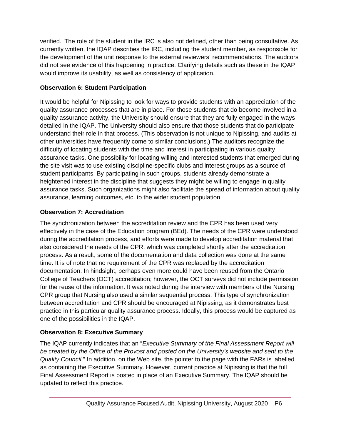verified. The role of the student in the IRC is also not defined, other than being consultative. As currently written, the IQAP describes the IRC, including the student member, as responsible for the development of the unit response to the external reviewers' recommendations. The auditors did not see evidence of this happening in practice. Clarifying details such as these in the IQAP would improve its usability, as well as consistency of application.

#### **Observation 6: Student Participation**

It would be helpful for Nipissing to look for ways to provide students with an appreciation of the quality assurance processes that are in place. For those students that do become involved in a quality assurance activity, the University should ensure that they are fully engaged in the ways detailed in the IQAP. The University should also ensure that those students that do participate understand their role in that process. (This observation is not unique to Nipissing, and audits at other universities have frequently come to similar conclusions.) The auditors recognize the difficulty of locating students with the time and interest in participating in various quality assurance tasks. One possibility for locating willing and interested students that emerged during the site visit was to use existing discipline-specific clubs and interest groups as a source of student participants. By participating in such groups, students already demonstrate a heightened interest in the discipline that suggests they might be willing to engage in quality assurance tasks. Such organizations might also facilitate the spread of information about quality assurance, learning outcomes, etc. to the wider student population.

## **Observation 7: Accreditation**

The synchronization between the accreditation review and the CPR has been used very effectively in the case of the Education program (BEd). The needs of the CPR were understood during the accreditation process, and efforts were made to develop accreditation material that also considered the needs of the CPR, which was completed shortly after the accreditation process. As a result, some of the documentation and data collection was done at the same time. It is of note that no requirement of the CPR was replaced by the accreditation documentation. In hindsight, perhaps even more could have been reused from the Ontario College of Teachers (OCT) accreditation; however, the OCT surveys did not include permission for the reuse of the information. It was noted during the interview with members of the Nursing CPR group that Nursing also used a similar sequential process. This type of synchronization between accreditation and CPR should be encouraged at Nipissing, as it demonstrates best practice in this particular quality assurance process. Ideally, this process would be captured as one of the possibilities in the IQAP.

## **Observation 8: Executive Summary**

The IQAP currently indicates that an "*Executive Summary of the Final Assessment Report will be created by the Office of the Provost and posted on the University's website and sent to the Quality Council.*" In addition, on the Web site, the pointer to the page with the FARs is labelled as containing the Executive Summary. However, current practice at Nipissing is that the full Final Assessment Report is posted in place of an Executive Summary. The IQAP should be updated to reflect this practice.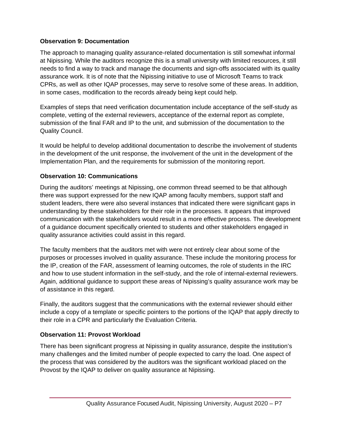#### **Observation 9: Documentation**

The approach to managing quality assurance-related documentation is still somewhat informal at Nipissing. While the auditors recognize this is a small university with limited resources, it still needs to find a way to track and manage the documents and sign-offs associated with its quality assurance work. It is of note that the Nipissing initiative to use of Microsoft Teams to track CPRs, as well as other IQAP processes, may serve to resolve some of these areas. In addition, in some cases, modification to the records already being kept could help.

Examples of steps that need verification documentation include acceptance of the self-study as complete, vetting of the external reviewers, acceptance of the external report as complete, submission of the final FAR and IP to the unit, and submission of the documentation to the Quality Council.

It would be helpful to develop additional documentation to describe the involvement of students in the development of the unit response, the involvement of the unit in the development of the Implementation Plan, and the requirements for submission of the monitoring report.

#### **Observation 10: Communications**

During the auditors' meetings at Nipissing, one common thread seemed to be that although there was support expressed for the new IQAP among faculty members, support staff and student leaders, there were also several instances that indicated there were significant gaps in understanding by these stakeholders for their role in the processes. It appears that improved communication with the stakeholders would result in a more effective process. The development of a guidance document specifically oriented to students and other stakeholders engaged in quality assurance activities could assist in this regard.

The faculty members that the auditors met with were not entirely clear about some of the purposes or processes involved in quality assurance. These include the monitoring process for the IP, creation of the FAR, assessment of learning outcomes, the role of students in the IRC and how to use student information in the self-study, and the role of internal-external reviewers. Again, additional guidance to support these areas of Nipissing's quality assurance work may be of assistance in this regard.

Finally, the auditors suggest that the communications with the external reviewer should either include a copy of a template or specific pointers to the portions of the IQAP that apply directly to their role in a CPR and particularly the Evaluation Criteria.

#### **Observation 11: Provost Workload**

There has been significant progress at Nipissing in quality assurance, despite the institution's many challenges and the limited number of people expected to carry the load. One aspect of the process that was considered by the auditors was the significant workload placed on the Provost by the IQAP to deliver on quality assurance at Nipissing.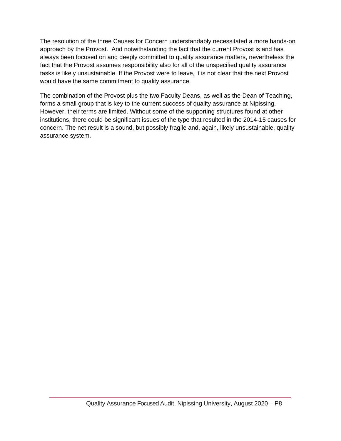The resolution of the three Causes for Concern understandably necessitated a more hands-on approach by the Provost. And notwithstanding the fact that the current Provost is and has always been focused on and deeply committed to quality assurance matters, nevertheless the fact that the Provost assumes responsibility also for all of the unspecified quality assurance tasks is likely unsustainable. If the Provost were to leave, it is not clear that the next Provost would have the same commitment to quality assurance.

The combination of the Provost plus the two Faculty Deans, as well as the Dean of Teaching, forms a small group that is key to the current success of quality assurance at Nipissing. However, their terms are limited. Without some of the supporting structures found at other institutions, there could be significant issues of the type that resulted in the 2014-15 causes for concern. The net result is a sound, but possibly fragile and, again, likely unsustainable, quality assurance system.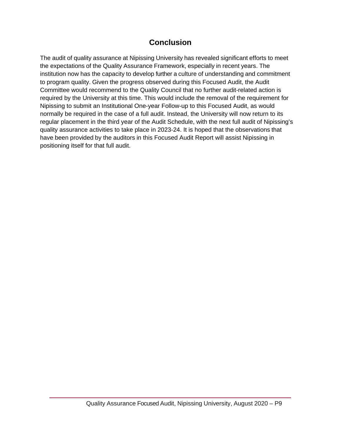## **Conclusion**

<span id="page-10-0"></span>The audit of quality assurance at Nipissing University has revealed significant efforts to meet the expectations of the Quality Assurance Framework, especially in recent years. The institution now has the capacity to develop further a culture of understanding and commitment to program quality. Given the progress observed during this Focused Audit, the Audit Committee would recommend to the Quality Council that no further audit-related action is required by the University at this time. This would include the removal of the requirement for Nipissing to submit an Institutional One-year Follow-up to this Focused Audit, as would normally be required in the case of a full audit. Instead, the University will now return to its regular placement in the third year of the Audit Schedule, with the next full audit of Nipissing's quality assurance activities to take place in 2023-24. It is hoped that the observations that have been provided by the auditors in this Focused Audit Report will assist Nipissing in positioning itself for that full audit.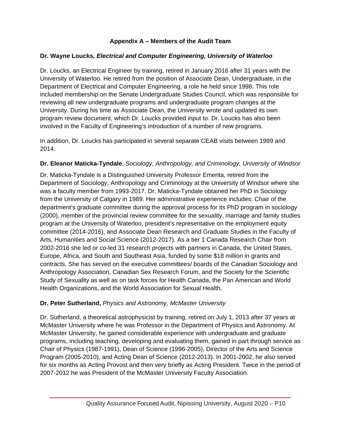#### **Appendix A – Members of the Audit Team**

#### <span id="page-11-0"></span>**Dr. Wayne Loucks***, Electrical and Computer Engineering, University of Waterloo*

Dr. Loucks, an Electrical Engineer by training, retired in January 2016 after 31 years with the University of Waterloo. He retired from the position of Associate Dean, Undergraduate, in the Department of Electrical and Computer Engineering, a role he held since 1998. This role included membership on the Senate Undergraduate Studies Council, which was responsible for reviewing all new undergraduate programs and undergraduate program changes at the University. During his time as Associate Dean, the University wrote and updated its own program review document, which Dr. Loucks provided input to. Dr. Loucks has also been involved in the Faculty of Engineering's introduction of a number of new programs.

In addition, Dr. Loucks has participated in several separate CEAB visits between 1999 and 2014.

#### **Dr. Eleanor Maticka-Tyndale**, *Sociology, Anthropology, and Criminology, University of Windsor*

Dr. Maticka-Tyndale is a Distinguished University Professor Emerita, retired from the Department of Sociology, Anthropology and Criminology at the University of Windsor where she was a faculty member from 1993-2017. Dr. Maticka-Tyndale obtained her PhD in Sociology from the University of Calgary in 1989. Her administrative experience includes: Chair of the department's graduate committee during the approval process for its PhD program in sociology (2000), member of the provincial review committee for the sexuality, marriage and family studies program at the University of Waterloo, president's representative on the employment equity committee (2014-2016), and Associate Dean Research and Graduate Studies in the Faculty of Arts, Humanities and Social Science (2012-2017). As a tier 1 Canada Research Chair from 2002-2016 she led or co-led 31 research projects with partners in Canada, the United States, Europe, Africa, and South and Southeast Asia, funded by some \$18 million in grants and contracts. She has served on the executive committees/ boards of the Canadian Sociology and Anthropology Association, Canadian Sex Research Forum, and the Society for the Scientific Study of Sexuality as well as on task forces for Health Canada, the Pan American and World Health Organizations, and the World Association for Sexual Health.

#### **Dr. Peter Sutherland,** *Physics and Astronomy, McMaster University*

Dr. Sutherland, a theoretical astrophysicist by training, retired on July 1, 2013 after 37 years at McMaster University where he was Professor in the Department of Physics and Astronomy. At McMaster University, he gained considerable experience with undergraduate and graduate programs, including teaching, developing and evaluating them, gained in part through service as Chair of Physics (1987-1991), Dean of Science (1996-2005), Director of the Arts and Science Program (2005-2010), and Acting Dean of Science (2012-2013). In 2001-2002, he also served for six months as Acting Provost and then very briefly as Acting President. Twice in the period of 2007-2012 he was President of the McMaster University Faculty Association.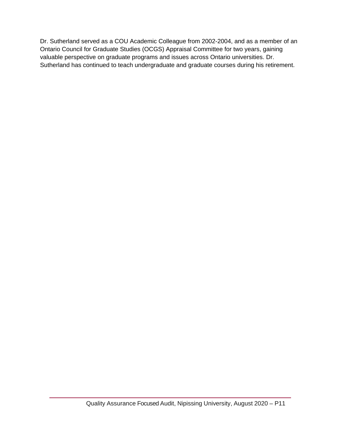Dr. Sutherland served as a COU Academic Colleague from 2002-2004, and as a member of an Ontario Council for Graduate Studies (OCGS) Appraisal Committee for two years, gaining valuable perspective on graduate programs and issues across Ontario universities. Dr. Sutherland has continued to teach undergraduate and graduate courses during his retirement.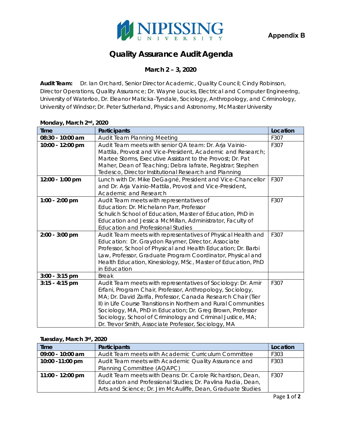

# **Quality Assurance Audit Agenda**

#### **March 2 – 3, 2020**

<span id="page-13-0"></span>**Audit Team:** Dr. Ian Orchard, Senior Director Academic, Quality Council; Cindy Robinson, Director Operations, Quality Assurance; Dr. Wayne Loucks, Electrical and Computer Engineering, University of Waterloo, Dr. Eleanor Maticka-Tyndale, Sociology, Anthropology, and Criminology, University of Windsor; Dr. Peter Sutherland, Physics and Astronomy, McMaster University

#### **Monday, March 2nd, 2020**

| <b>Time</b>      | Participants                                                                                                                                                                                                                                                                                                                                                                                                                                       | Location |
|------------------|----------------------------------------------------------------------------------------------------------------------------------------------------------------------------------------------------------------------------------------------------------------------------------------------------------------------------------------------------------------------------------------------------------------------------------------------------|----------|
| 08:30 - 10:00 am | Audit Team Planning Meeting                                                                                                                                                                                                                                                                                                                                                                                                                        | F307     |
| 10:00 - 12:00 pm | Audit Team meets with senior QA team: Dr. Arja Vainio-<br>Mattila, Provost and Vice-President, Academic and Research;<br>Martee Storms, Executive Assistant to the Provost; Dr. Pat<br>Maher, Dean of Teaching; Debra lafrate, Registrar; Stephen<br>Tedesco, Director Institutional Research and Planning                                                                                                                                         | F307     |
| 12:00 - 1:00 pm  | Lunch with Dr. Mike DeGagné, President and Vice-Chancellor<br>and Dr. Arja Vainio-Mattila, Provost and Vice-President,<br>Academic and Research                                                                                                                                                                                                                                                                                                    | F307     |
| 1:00 - 2:00 pm   | Audit Team meets with representatives of<br>Education: Dr. Michelann Parr, Professor<br>Schulich School of Education, Master of Education, PhD in<br>Education and Jessica McMillan, Administrator, Faculty of<br><b>Education and Professional Studies</b>                                                                                                                                                                                        | F307     |
| 2:00 - 3:00 pm   | Audit Team meets with representatives of Physical Health and<br>Education: Dr. Graydon Raymer, Director, Associate<br>Professor, School of Physical and Health Education; Dr. Barbi<br>Law, Professor, Graduate Program Coordinator, Physical and<br>Health Education, Kinesiology, MSc, Master of Education, PhD<br>in Education                                                                                                                  | F307     |
| $3:00 - 3:15$ pm | <b>Break</b>                                                                                                                                                                                                                                                                                                                                                                                                                                       |          |
| $3:15 - 4:15$ pm | Audit Team meets with representatives of Sociology: Dr. Amir<br>Erfani, Program Chair, Professor, Anthropology, Sociology,<br>MA; Dr. David Zarifa, Professor, Canada Research Chair (Tier<br>II) in Life Course Transitions in Northern and Rural Communities<br>Sociology, MA, PhD in Education; Dr. Greg Brown, Professor<br>Sociology, School of Criminology and Criminal Justice, MA;<br>Dr. Trevor Smith, Associate Professor, Sociology, MA | F307     |

#### **Tuesday, March 3rd, 2020**

| <b>Time</b>        | <b>Participants</b>                                          | Location |
|--------------------|--------------------------------------------------------------|----------|
| $09:00 - 10:00$ am | Audit Team meets with Academic Curriculum Committee          | F303     |
| 10:00 - 11:00 pm   | Audit Team meets with Academic Quality Assurance and         | F303     |
|                    | Planning Committee (AQAPC)                                   |          |
| 11:00 - 12:00 pm   | Audit Team meets with Deans: Dr. Carole Richardson, Dean,    | F307     |
|                    | Education and Professional Studies; Dr. Pavlina Radia, Dean, |          |
|                    | Arts and Science; Dr. Jim McAuliffe, Dean, Graduate Studies  |          |